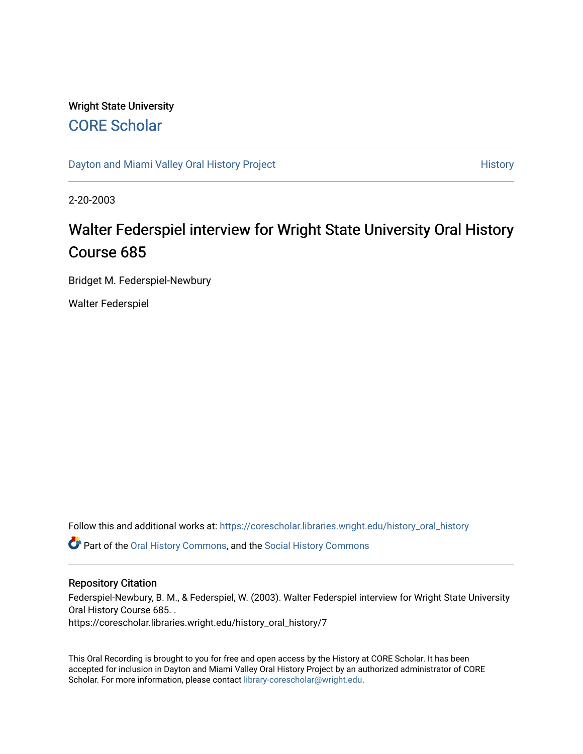## Wright State University [CORE Scholar](https://corescholar.libraries.wright.edu/)

[Dayton and Miami Valley Oral History Project](https://corescholar.libraries.wright.edu/history_oral_history) **History** History

2-20-2003

# Walter Federspiel interview for Wright State University Oral History Course 685

Bridget M. Federspiel-Newbury

Walter Federspiel

Follow this and additional works at: [https://corescholar.libraries.wright.edu/history\\_oral\\_history](https://corescholar.libraries.wright.edu/history_oral_history?utm_source=corescholar.libraries.wright.edu%2Fhistory_oral_history%2F7&utm_medium=PDF&utm_campaign=PDFCoverPages) 

Part of the [Oral History Commons](http://network.bepress.com/hgg/discipline/1195?utm_source=corescholar.libraries.wright.edu%2Fhistory_oral_history%2F7&utm_medium=PDF&utm_campaign=PDFCoverPages), and the [Social History Commons](http://network.bepress.com/hgg/discipline/506?utm_source=corescholar.libraries.wright.edu%2Fhistory_oral_history%2F7&utm_medium=PDF&utm_campaign=PDFCoverPages)

#### Repository Citation

Federspiel-Newbury, B. M., & Federspiel, W. (2003). Walter Federspiel interview for Wright State University Oral History Course 685. . https://corescholar.libraries.wright.edu/history\_oral\_history/7

This Oral Recording is brought to you for free and open access by the History at CORE Scholar. It has been accepted for inclusion in Dayton and Miami Valley Oral History Project by an authorized administrator of CORE Scholar. For more information, please contact [library-corescholar@wright.edu](mailto:library-corescholar@wright.edu).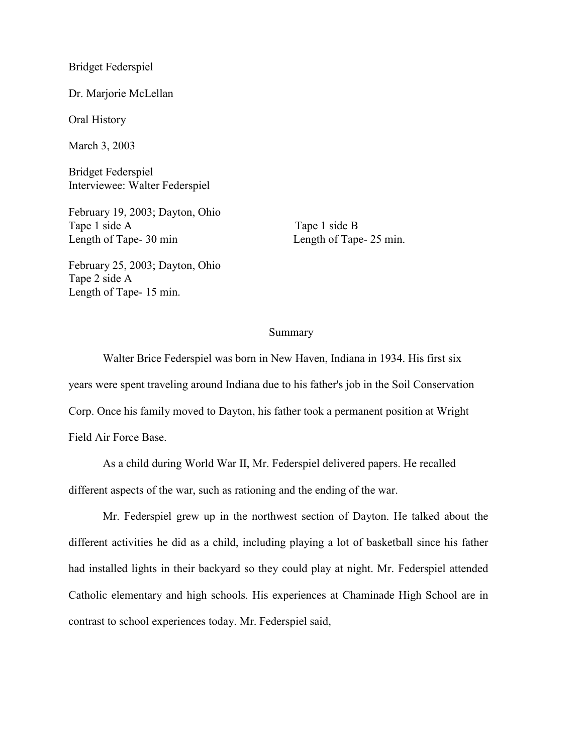Bridget Federspiel

Dr. Marjorie McLellan

Oral History

March 3, 2003

Bridget Federspiel Interviewee: Walter Federspiel

February 19, 2003; Dayton, Ohio Tape 1 side A Tape 1 side B Length of Tape- 30 min Length of Tape- 25 min.

February 25, 2003; Dayton, Ohio Tape 2 side A Length of Tape- 15 min.

#### Summary

Walter Brice Federspiel was born in New Haven, Indiana in 1934. His first six years were spent traveling around Indiana due to his father's job in the Soil Conservation Corp. Once his family moved to Dayton, his father took a permanent position at Wright Field Air Force Base.

As a child during World War II, Mr. Federspiel delivered papers. He recalled different aspects of the war, such as rationing and the ending of the war.

Mr. Federspiel grew up in the northwest section of Dayton. He talked about the different activities he did as a child, including playing a lot of basketball since his father had installed lights in their backyard so they could play at night. Mr. Federspiel attended Catholic elementary and high schools. His experiences at Chaminade High School are in contrast to school experiences today. Mr. Federspiel said,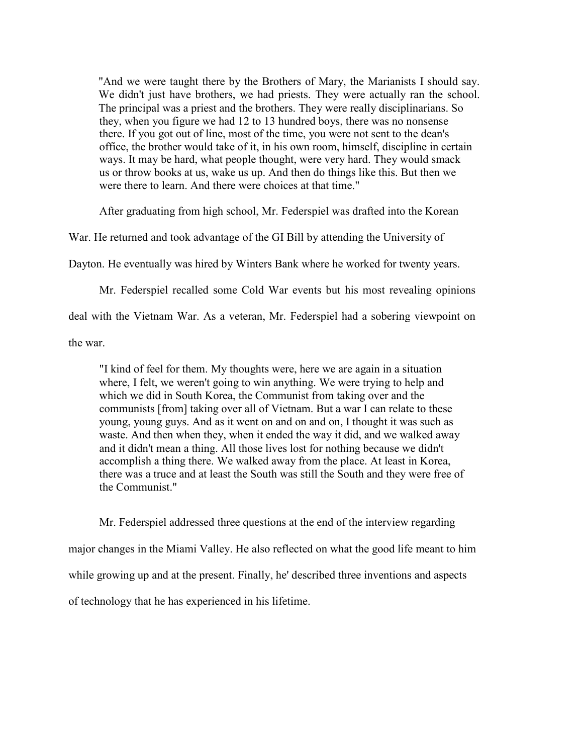"And we were taught there by the Brothers of Mary, the Marianists I should say. We didn't just have brothers, we had priests. They were actually ran the school. The principal was a priest and the brothers. They were really disciplinarians. So they, when you figure we had 12 to 13 hundred boys, there was no nonsense there. If you got out of line, most of the time, you were not sent to the dean's office, the brother would take of it, in his own room, himself, discipline in certain ways. It may be hard, what people thought, were very hard. They would smack us or throw books at us, wake us up. And then do things like this. But then we were there to learn. And there were choices at that time."

After graduating from high school, Mr. Federspiel was drafted into the Korean

War. He returned and took advantage of the GI Bill by attending the University of

Dayton. He eventually was hired by Winters Bank where he worked for twenty years.

Mr. Federspiel recalled some Cold War events but his most revealing opinions deal with the Vietnam War. As a veteran, Mr. Federspiel had a sobering viewpoint on the war.

"I kind of feel for them. My thoughts were, here we are again in a situation where, I felt, we weren't going to win anything. We were trying to help and which we did in South Korea, the Communist from taking over and the communists [from] taking over all of Vietnam. But a war I can relate to these young, young guys. And as it went on and on and on, I thought it was such as waste. And then when they, when it ended the way it did, and we walked away and it didn't mean a thing. All those lives lost for nothing because we didn't accomplish a thing there. We walked away from the place. At least in Korea, there was a truce and at least the South was still the South and they were free of the Communist."

Mr. Federspiel addressed three questions at the end of the interview regarding major changes in the Miami Valley. He also reflected on what the good life meant to him while growing up and at the present. Finally, he' described three inventions and aspects of technology that he has experienced in his lifetime.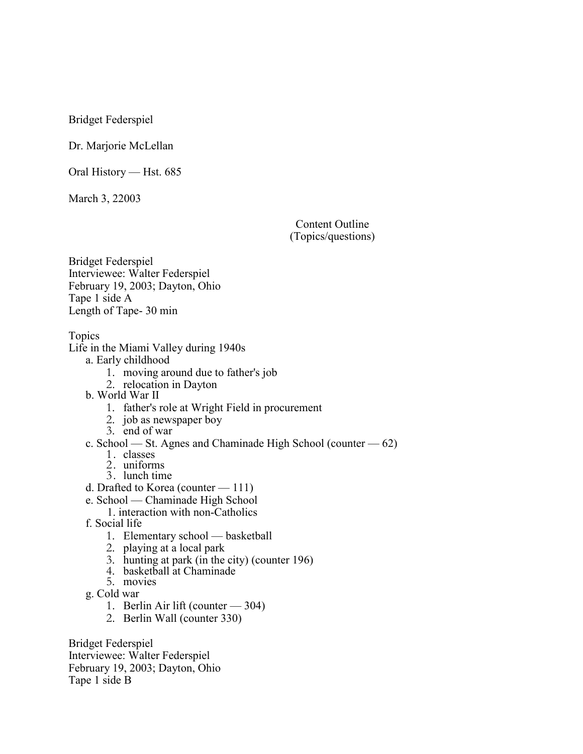Bridget Federspiel

Dr. Marjorie McLellan

Oral History — Hst. 685

March 3, 22003

Content Outline (Topics/questions)

Bridget Federspiel Interviewee: Walter Federspiel February 19, 2003; Dayton, Ohio Tape 1 side A Length of Tape- 30 min

Topics

Life in the Miami Valley during 1940s

a. Early childhood

- 1. moving around due to father's job
- 2. relocation in Dayton
- b. World War II
	- 1. father's role at Wright Field in procurement
	- 2. job as newspaper boy
	- 3. end of war
- c. School St. Agnes and Chaminade High School (counter 62)
	- 1. classes
	- 2. uniforms
	- 3. lunch time
- d. Drafted to Korea (counter 111)
- e. School Chaminade High School
	- 1. interaction with non-Catholics
- f. Social life
	- 1. Elementary school basketball
	- 2. playing at a local park
	- 3. hunting at park (in the city) (counter 196)
	- 4. basketball at Chaminade
	- 5. movies
- g. Cold war
	- 1. Berlin Air lift (counter 304)
	- 2. Berlin Wall (counter 330)

Bridget Federspiel Interviewee: Walter Federspiel February 19, 2003; Dayton, Ohio Tape 1 side B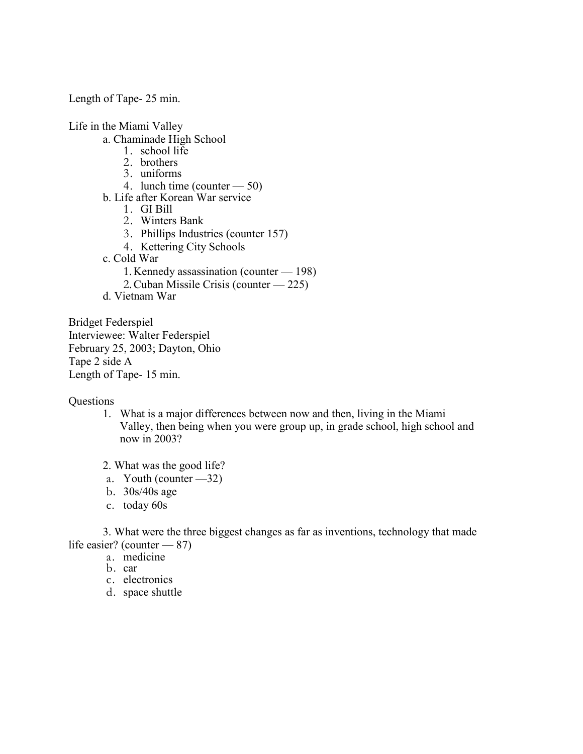Length of Tape- 25 min.

Life in the Miami Valley

- a. Chaminade High School
	- 1. school life
	- 2. brothers
	- 3. uniforms
	- 4. lunch time (counter 50)
- b. Life after Korean War service
	- 1. GI Bill
	- 2. Winters Bank
	- 3. Phillips Industries (counter 157)
	- 4. Kettering City Schools
- c. Cold War
	- 1. Kennedy assassination (counter 198)
	- 2. Cuban Missile Crisis (counter 225)
- d. Vietnam War

Bridget Federspiel Interviewee: Walter Federspiel February 25, 2003; Dayton, Ohio Tape 2 side A Length of Tape- 15 min.

**Questions** 

- 1. What is a major differences between now and then, living in the Miami Valley, then being when you were group up, in grade school, high school and now in 2003?
- 2. What was the good life?
- a. Youth (counter —32)
- b. 30s/40s age
- c. today 60s

3. What were the three biggest changes as far as inventions, technology that made life easier? (counter — 87)

- a. medicine
- b. car
- c. electronics
- d. space shuttle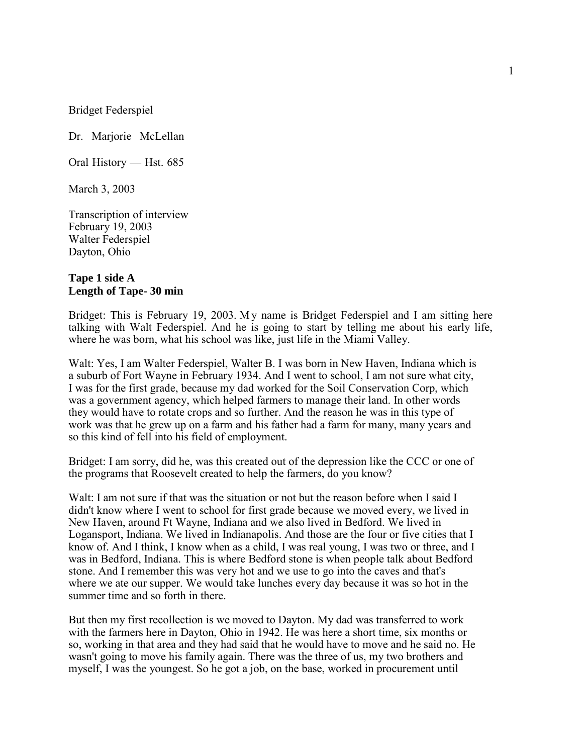Bridget Federspiel

Dr. Marjorie McLellan

Oral History — Hst. 685

March 3, 2003

Transcription of interview February 19, 2003 Walter Federspiel Dayton, Ohio

## **Tape 1 side A Length of Tape- 30 min**

Bridget: This is February 19, 2003. My name is Bridget Federspiel and I am sitting here talking with Walt Federspiel. And he is going to start by telling me about his early life, where he was born, what his school was like, just life in the Miami Valley.

Walt: Yes, I am Walter Federspiel, Walter B. I was born in New Haven, Indiana which is a suburb of Fort Wayne in February 1934. And I went to school, I am not sure what city, I was for the first grade, because my dad worked for the Soil Conservation Corp, which was a government agency, which helped farmers to manage their land. In other words they would have to rotate crops and so further. And the reason he was in this type of work was that he grew up on a farm and his father had a farm for many, many years and so this kind of fell into his field of employment.

Bridget: I am sorry, did he, was this created out of the depression like the CCC or one of the programs that Roosevelt created to help the farmers, do you know?

Walt: I am not sure if that was the situation or not but the reason before when I said I didn't know where I went to school for first grade because we moved every, we lived in New Haven, around Ft Wayne, Indiana and we also lived in Bedford. We lived in Logansport, Indiana. We lived in Indianapolis. And those are the four or five cities that I know of. And I think, I know when as a child, I was real young, I was two or three, and I was in Bedford, Indiana. This is where Bedford stone is when people talk about Bedford stone. And I remember this was very hot and we use to go into the caves and that's where we ate our supper. We would take lunches every day because it was so hot in the summer time and so forth in there.

But then my first recollection is we moved to Dayton. My dad was transferred to work with the farmers here in Dayton, Ohio in 1942. He was here a short time, six months or so, working in that area and they had said that he would have to move and he said no. He wasn't going to move his family again. There was the three of us, my two brothers and myself, I was the youngest. So he got a job, on the base, worked in procurement until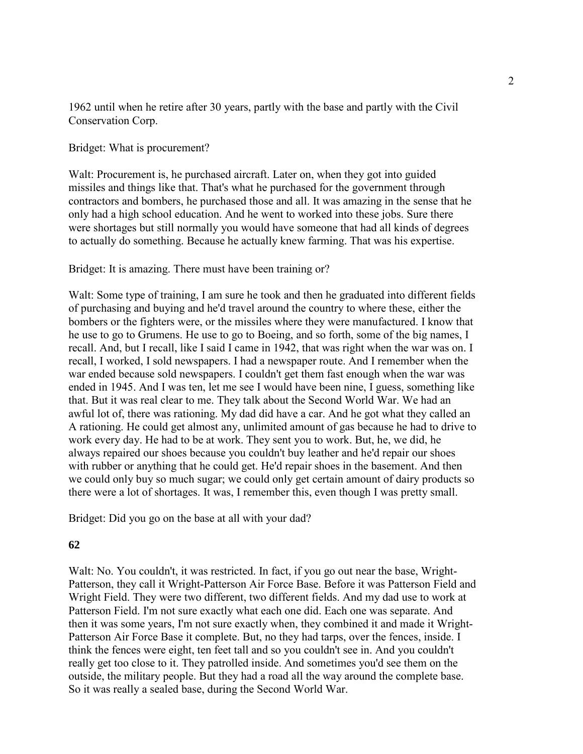1962 until when he retire after 30 years, partly with the base and partly with the Civil Conservation Corp.

Bridget: What is procurement?

Walt: Procurement is, he purchased aircraft. Later on, when they got into guided missiles and things like that. That's what he purchased for the government through contractors and bombers, he purchased those and all. It was amazing in the sense that he only had a high school education. And he went to worked into these jobs. Sure there were shortages but still normally you would have someone that had all kinds of degrees to actually do something. Because he actually knew farming. That was his expertise.

## Bridget: It is amazing. There must have been training or?

Walt: Some type of training, I am sure he took and then he graduated into different fields of purchasing and buying and he'd travel around the country to where these, either the bombers or the fighters were, or the missiles where they were manufactured. I know that he use to go to Grumens. He use to go to Boeing, and so forth, some of the big names, I recall. And, but I recall, like I said I came in 1942, that was right when the war was on. I recall, I worked, I sold newspapers. I had a newspaper route. And I remember when the war ended because sold newspapers. I couldn't get them fast enough when the war was ended in 1945. And I was ten, let me see I would have been nine, I guess, something like that. But it was real clear to me. They talk about the Second World War. We had an awful lot of, there was rationing. My dad did have a car. And he got what they called an A rationing. He could get almost any, unlimited amount of gas because he had to drive to work every day. He had to be at work. They sent you to work. But, he, we did, he always repaired our shoes because you couldn't buy leather and he'd repair our shoes with rubber or anything that he could get. He'd repair shoes in the basement. And then we could only buy so much sugar; we could only get certain amount of dairy products so there were a lot of shortages. It was, I remember this, even though I was pretty small.

Bridget: Did you go on the base at all with your dad?

## **62**

Walt: No. You couldn't, it was restricted. In fact, if you go out near the base, Wright-Patterson, they call it Wright-Patterson Air Force Base. Before it was Patterson Field and Wright Field. They were two different, two different fields. And my dad use to work at Patterson Field. I'm not sure exactly what each one did. Each one was separate. And then it was some years, I'm not sure exactly when, they combined it and made it Wright-Patterson Air Force Base it complete. But, no they had tarps, over the fences, inside. I think the fences were eight, ten feet tall and so you couldn't see in. And you couldn't really get too close to it. They patrolled inside. And sometimes you'd see them on the outside, the military people. But they had a road all the way around the complete base. So it was really a sealed base, during the Second World War.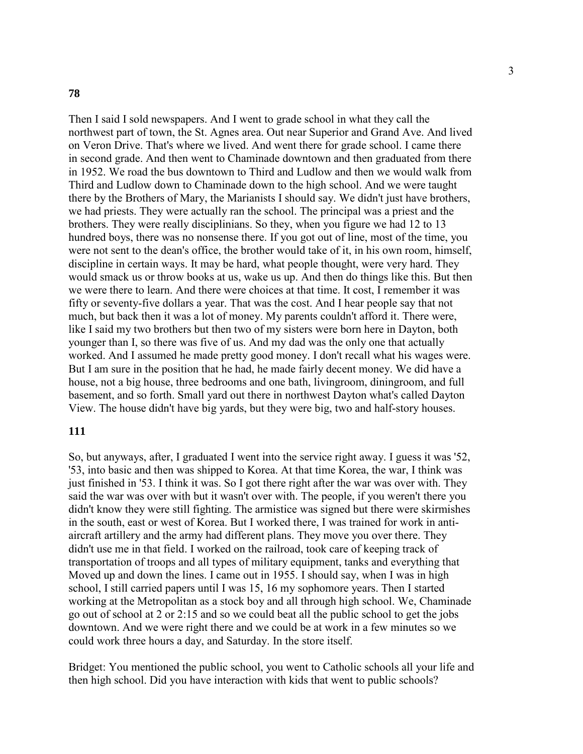#### **78**

Then I said I sold newspapers. And I went to grade school in what they call the northwest part of town, the St. Agnes area. Out near Superior and Grand Ave. And lived on Veron Drive. That's where we lived. And went there for grade school. I came there in second grade. And then went to Chaminade downtown and then graduated from there in 1952. We road the bus downtown to Third and Ludlow and then we would walk from Third and Ludlow down to Chaminade down to the high school. And we were taught there by the Brothers of Mary, the Marianists I should say. We didn't just have brothers, we had priests. They were actually ran the school. The principal was a priest and the brothers. They were really disciplinians. So they, when you figure we had 12 to 13 hundred boys, there was no nonsense there. If you got out of line, most of the time, you were not sent to the dean's office, the brother would take of it, in his own room, himself, discipline in certain ways. It may be hard, what people thought, were very hard. They would smack us or throw books at us, wake us up. And then do things like this. But then we were there to learn. And there were choices at that time. It cost, I remember it was fifty or seventy-five dollars a year. That was the cost. And I hear people say that not much, but back then it was a lot of money. My parents couldn't afford it. There were, like I said my two brothers but then two of my sisters were born here in Dayton, both younger than I, so there was five of us. And my dad was the only one that actually worked. And I assumed he made pretty good money. I don't recall what his wages were. But I am sure in the position that he had, he made fairly decent money. We did have a house, not a big house, three bedrooms and one bath, livingroom, diningroom, and full basement, and so forth. Small yard out there in northwest Dayton what's called Dayton View. The house didn't have big yards, but they were big, two and half-story houses.

## **111**

So, but anyways, after, I graduated I went into the service right away. I guess it was '52, '53, into basic and then was shipped to Korea. At that time Korea, the war, I think was just finished in '53. I think it was. So I got there right after the war was over with. They said the war was over with but it wasn't over with. The people, if you weren't there you didn't know they were still fighting. The armistice was signed but there were skirmishes in the south, east or west of Korea. But I worked there, I was trained for work in antiaircraft artillery and the army had different plans. They move you over there. They didn't use me in that field. I worked on the railroad, took care of keeping track of transportation of troops and all types of military equipment, tanks and everything that Moved up and down the lines. I came out in 1955. I should say, when I was in high school, I still carried papers until I was 15, 16 my sophomore years. Then I started working at the Metropolitan as a stock boy and all through high school. We, Chaminade go out of school at 2 or 2:15 and so we could beat all the public school to get the jobs downtown. And we were right there and we could be at work in a few minutes so we could work three hours a day, and Saturday. In the store itself.

Bridget: You mentioned the public school, you went to Catholic schools all your life and then high school. Did you have interaction with kids that went to public schools?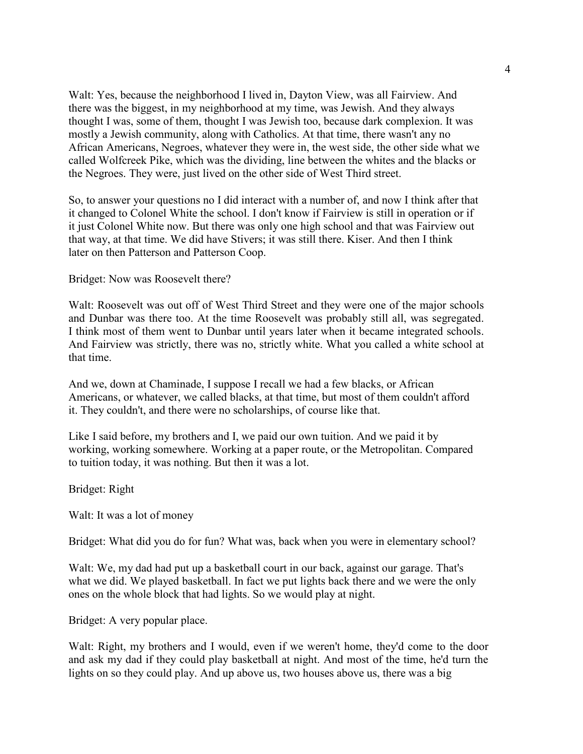Walt: Yes, because the neighborhood I lived in, Dayton View, was all Fairview. And there was the biggest, in my neighborhood at my time, was Jewish. And they always thought I was, some of them, thought I was Jewish too, because dark complexion. It was mostly a Jewish community, along with Catholics. At that time, there wasn't any no African Americans, Negroes, whatever they were in, the west side, the other side what we called Wolfcreek Pike, which was the dividing, line between the whites and the blacks or the Negroes. They were, just lived on the other side of West Third street.

So, to answer your questions no I did interact with a number of, and now I think after that it changed to Colonel White the school. I don't know if Fairview is still in operation or if it just Colonel White now. But there was only one high school and that was Fairview out that way, at that time. We did have Stivers; it was still there. Kiser. And then I think later on then Patterson and Patterson Coop.

Bridget: Now was Roosevelt there?

Walt: Roosevelt was out off of West Third Street and they were one of the major schools and Dunbar was there too. At the time Roosevelt was probably still all, was segregated. I think most of them went to Dunbar until years later when it became integrated schools. And Fairview was strictly, there was no, strictly white. What you called a white school at that time.

And we, down at Chaminade, I suppose I recall we had a few blacks, or African Americans, or whatever, we called blacks, at that time, but most of them couldn't afford it. They couldn't, and there were no scholarships, of course like that.

Like I said before, my brothers and I, we paid our own tuition. And we paid it by working, working somewhere. Working at a paper route, or the Metropolitan. Compared to tuition today, it was nothing. But then it was a lot.

Bridget: Right

Walt: It was a lot of money

Bridget: What did you do for fun? What was, back when you were in elementary school?

Walt: We, my dad had put up a basketball court in our back, against our garage. That's what we did. We played basketball. In fact we put lights back there and we were the only ones on the whole block that had lights. So we would play at night.

Bridget: A very popular place.

Walt: Right, my brothers and I would, even if we weren't home, they'd come to the door and ask my dad if they could play basketball at night. And most of the time, he'd turn the lights on so they could play. And up above us, two houses above us, there was a big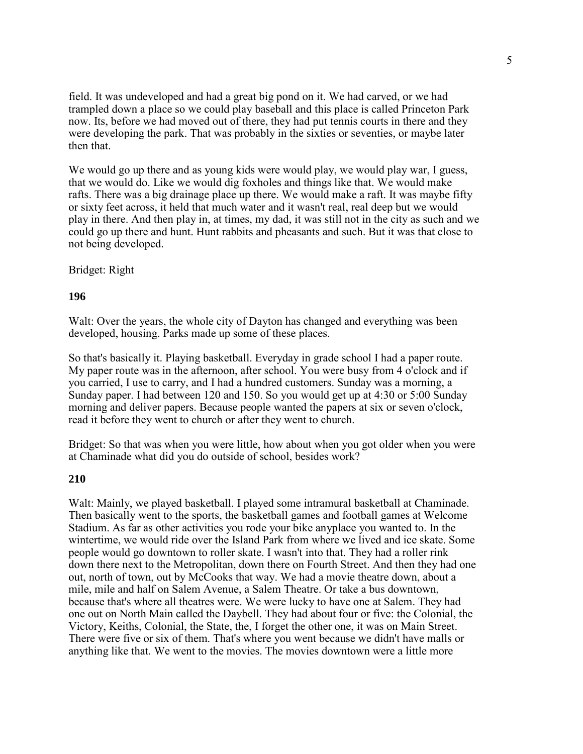field. It was undeveloped and had a great big pond on it. We had carved, or we had trampled down a place so we could play baseball and this place is called Princeton Park now. Its, before we had moved out of there, they had put tennis courts in there and they were developing the park. That was probably in the sixties or seventies, or maybe later then that.

We would go up there and as young kids were would play, we would play war, I guess, that we would do. Like we would dig foxholes and things like that. We would make rafts. There was a big drainage place up there. We would make a raft. It was maybe fifty or sixty feet across, it held that much water and it wasn't real, real deep but we would play in there. And then play in, at times, my dad, it was still not in the city as such and we could go up there and hunt. Hunt rabbits and pheasants and such. But it was that close to not being developed.

#### Bridget: Right

#### **196**

Walt: Over the years, the whole city of Dayton has changed and everything was been developed, housing. Parks made up some of these places.

So that's basically it. Playing basketball. Everyday in grade school I had a paper route. My paper route was in the afternoon, after school. You were busy from 4 o'clock and if you carried, I use to carry, and I had a hundred customers. Sunday was a morning, a Sunday paper. I had between 120 and 150. So you would get up at 4:30 or 5:00 Sunday morning and deliver papers. Because people wanted the papers at six or seven o'clock, read it before they went to church or after they went to church.

Bridget: So that was when you were little, how about when you got older when you were at Chaminade what did you do outside of school, besides work?

#### **210**

Walt: Mainly, we played basketball. I played some intramural basketball at Chaminade. Then basically went to the sports, the basketball games and football games at Welcome Stadium. As far as other activities you rode your bike anyplace you wanted to. In the wintertime, we would ride over the Island Park from where we lived and ice skate. Some people would go downtown to roller skate. I wasn't into that. They had a roller rink down there next to the Metropolitan, down there on Fourth Street. And then they had one out, north of town, out by McCooks that way. We had a movie theatre down, about a mile, mile and half on Salem Avenue, a Salem Theatre. Or take a bus downtown, because that's where all theatres were. We were lucky to have one at Salem. They had one out on North Main called the Daybell. They had about four or five: the Colonial, the Victory, Keiths, Colonial, the State, the, I forget the other one, it was on Main Street. There were five or six of them. That's where you went because we didn't have malls or anything like that. We went to the movies. The movies downtown were a little more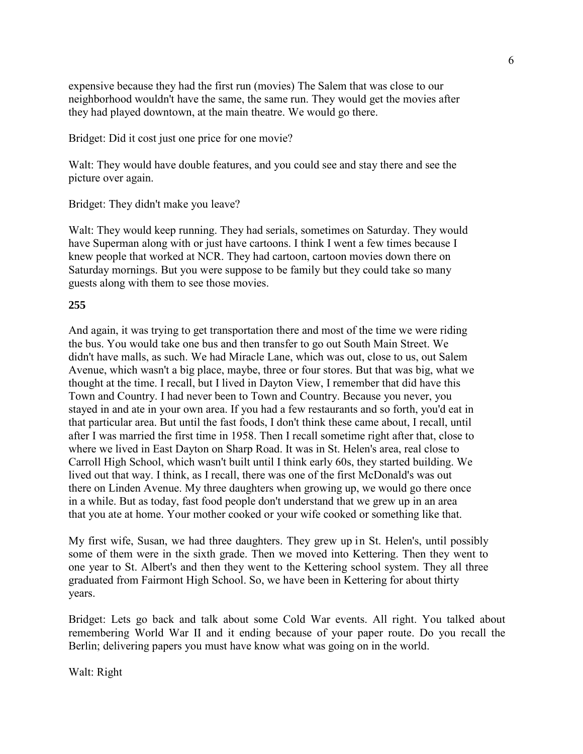expensive because they had the first run (movies) The Salem that was close to our neighborhood wouldn't have the same, the same run. They would get the movies after they had played downtown, at the main theatre. We would go there.

Bridget: Did it cost just one price for one movie?

Walt: They would have double features, and you could see and stay there and see the picture over again.

Bridget: They didn't make you leave?

Walt: They would keep running. They had serials, sometimes on Saturday. They would have Superman along with or just have cartoons. I think I went a few times because I knew people that worked at NCR. They had cartoon, cartoon movies down there on Saturday mornings. But you were suppose to be family but they could take so many guests along with them to see those movies.

## **255**

And again, it was trying to get transportation there and most of the time we were riding the bus. You would take one bus and then transfer to go out South Main Street. We didn't have malls, as such. We had Miracle Lane, which was out, close to us, out Salem Avenue, which wasn't a big place, maybe, three or four stores. But that was big, what we thought at the time. I recall, but I lived in Dayton View, I remember that did have this Town and Country. I had never been to Town and Country. Because you never, you stayed in and ate in your own area. If you had a few restaurants and so forth, you'd eat in that particular area. But until the fast foods, I don't think these came about, I recall, until after I was married the first time in 1958. Then I recall sometime right after that, close to where we lived in East Dayton on Sharp Road. It was in St. Helen's area, real close to Carroll High School, which wasn't built until I think early 60s, they started building. We lived out that way. I think, as I recall, there was one of the first McDonald's was out there on Linden Avenue. My three daughters when growing up, we would go there once in a while. But as today, fast food people don't understand that we grew up in an area that you ate at home. Your mother cooked or your wife cooked or something like that.

My first wife, Susan, we had three daughters. They grew up in St. Helen's, until possibly some of them were in the sixth grade. Then we moved into Kettering. Then they went to one year to St. Albert's and then they went to the Kettering school system. They all three graduated from Fairmont High School. So, we have been in Kettering for about thirty years.

Bridget: Lets go back and talk about some Cold War events. All right. You talked about remembering World War II and it ending because of your paper route. Do you recall the Berlin; delivering papers you must have know what was going on in the world.

Walt: Right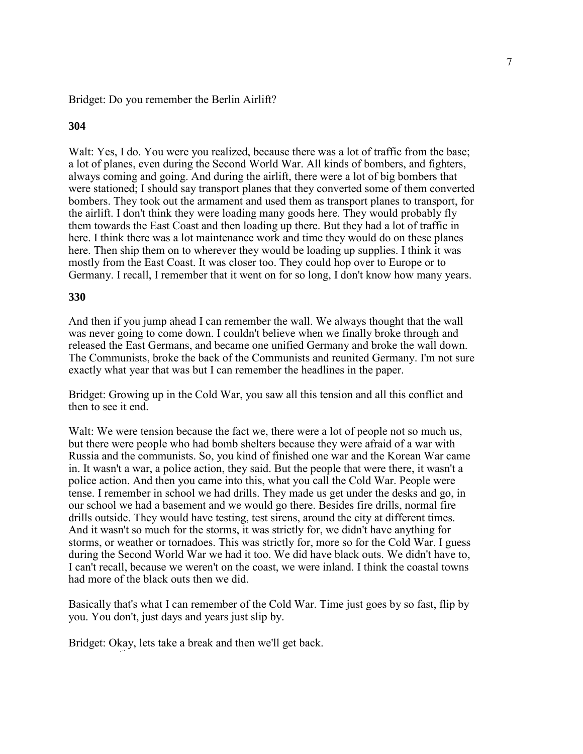#### Bridget: Do you remember the Berlin Airlift?

## **304**

Walt: Yes, I do. You were you realized, because there was a lot of traffic from the base; a lot of planes, even during the Second World War. All kinds of bombers, and fighters, always coming and going. And during the airlift, there were a lot of big bombers that were stationed; I should say transport planes that they converted some of them converted bombers. They took out the armament and used them as transport planes to transport, for the airlift. I don't think they were loading many goods here. They would probably fly them towards the East Coast and then loading up there. But they had a lot of traffic in here. I think there was a lot maintenance work and time they would do on these planes here. Then ship them on to wherever they would be loading up supplies. I think it was mostly from the East Coast. It was closer too. They could hop over to Europe or to Germany. I recall, I remember that it went on for so long, I don't know how many years.

#### **330**

And then if you jump ahead I can remember the wall. We always thought that the wall was never going to come down. I couldn't believe when we finally broke through and released the East Germans, and became one unified Germany and broke the wall down. The Communists, broke the back of the Communists and reunited Germany. I'm not sure exactly what year that was but I can remember the headlines in the paper.

Bridget: Growing up in the Cold War, you saw all this tension and all this conflict and then to see it end.

Walt: We were tension because the fact we, there were a lot of people not so much us, but there were people who had bomb shelters because they were afraid of a war with Russia and the communists. So, you kind of finished one war and the Korean War came in. It wasn't a war, a police action, they said. But the people that were there, it wasn't a police action. And then you came into this, what you call the Cold War. People were tense. I remember in school we had drills. They made us get under the desks and go, in our school we had a basement and we would go there. Besides fire drills, normal fire drills outside. They would have testing, test sirens, around the city at different times. And it wasn't so much for the storms, it was strictly for, we didn't have anything for storms, or weather or tornadoes. This was strictly for, more so for the Cold War. I guess during the Second World War we had it too. We did have black outs. We didn't have to, I can't recall, because we weren't on the coast, we were inland. I think the coastal towns had more of the black outs then we did.

Basically that's what I can remember of the Cold War. Time just goes by so fast, flip by you. You don't, just days and years just slip by.

Bridget: Okay, lets take a break and then we'll get back.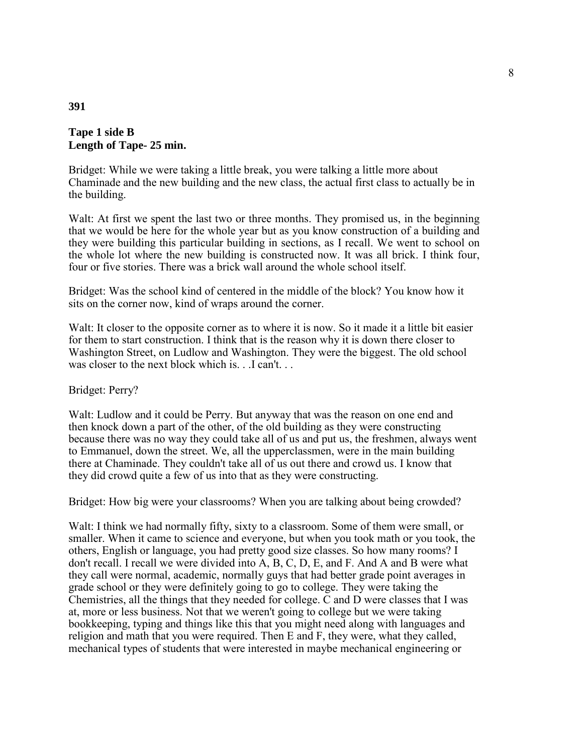## **Tape 1 side B Length of Tape- 25 min.**

Bridget: While we were taking a little break, you were talking a little more about Chaminade and the new building and the new class, the actual first class to actually be in the building.

Walt: At first we spent the last two or three months. They promised us, in the beginning that we would be here for the whole year but as you know construction of a building and they were building this particular building in sections, as I recall. We went to school on the whole lot where the new building is constructed now. It was all brick. I think four, four or five stories. There was a brick wall around the whole school itself.

Bridget: Was the school kind of centered in the middle of the block? You know how it sits on the corner now, kind of wraps around the corner.

Walt: It closer to the opposite corner as to where it is now. So it made it a little bit easier for them to start construction. I think that is the reason why it is down there closer to Washington Street, on Ludlow and Washington. They were the biggest. The old school was closer to the next block which is. . .I can't...

#### Bridget: Perry?

Walt: Ludlow and it could be Perry. But anyway that was the reason on one end and then knock down a part of the other, of the old building as they were constructing because there was no way they could take all of us and put us, the freshmen, always went to Emmanuel, down the street. We, all the upperclassmen, were in the main building there at Chaminade. They couldn't take all of us out there and crowd us. I know that they did crowd quite a few of us into that as they were constructing.

Bridget: How big were your classrooms? When you are talking about being crowded?

Walt: I think we had normally fifty, sixty to a classroom. Some of them were small, or smaller. When it came to science and everyone, but when you took math or you took, the others, English or language, you had pretty good size classes. So how many rooms? I don't recall. I recall we were divided into A, B, C, D, E, and F. And A and B were what they call were normal, academic, normally guys that had better grade point averages in grade school or they were definitely going to go to college. They were taking the Chemistries, all the things that they needed for college. C and D were classes that I was at, more or less business. Not that we weren't going to college but we were taking bookkeeping, typing and things like this that you might need along with languages and religion and math that you were required. Then E and F, they were, what they called, mechanical types of students that were interested in maybe mechanical engineering or

#### **391**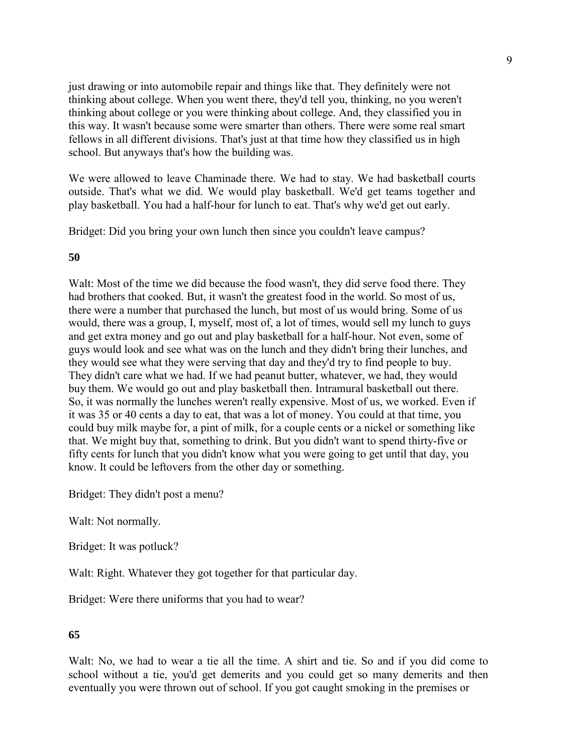just drawing or into automobile repair and things like that. They definitely were not thinking about college. When you went there, they'd tell you, thinking, no you weren't thinking about college or you were thinking about college. And, they classified you in this way. It wasn't because some were smarter than others. There were some real smart fellows in all different divisions. That's just at that time how they classified us in high school. But anyways that's how the building was.

We were allowed to leave Chaminade there. We had to stay. We had basketball courts outside. That's what we did. We would play basketball. We'd get teams together and play basketball. You had a half-hour for lunch to eat. That's why we'd get out early.

Bridget: Did you bring your own lunch then since you couldn't leave campus?

## **50**

Walt: Most of the time we did because the food wasn't, they did serve food there. They had brothers that cooked. But, it wasn't the greatest food in the world. So most of us, there were a number that purchased the lunch, but most of us would bring. Some of us would, there was a group, I, myself, most of, a lot of times, would sell my lunch to guys and get extra money and go out and play basketball for a half-hour. Not even, some of guys would look and see what was on the lunch and they didn't bring their lunches, and they would see what they were serving that day and they'd try to find people to buy. They didn't care what we had. If we had peanut butter, whatever, we had, they would buy them. We would go out and play basketball then. Intramural basketball out there. So, it was normally the lunches weren't really expensive. Most of us, we worked. Even if it was 35 or 40 cents a day to eat, that was a lot of money. You could at that time, you could buy milk maybe for, a pint of milk, for a couple cents or a nickel or something like that. We might buy that, something to drink. But you didn't want to spend thirty-five or fifty cents for lunch that you didn't know what you were going to get until that day, you know. It could be leftovers from the other day or something.

Bridget: They didn't post a menu?

Walt: Not normally.

Bridget: It was potluck?

Walt: Right. Whatever they got together for that particular day.

Bridget: Were there uniforms that you had to wear?

## **65**

Walt: No, we had to wear a tie all the time. A shirt and tie. So and if you did come to school without a tie, you'd get demerits and you could get so many demerits and then eventually you were thrown out of school. If you got caught smoking in the premises or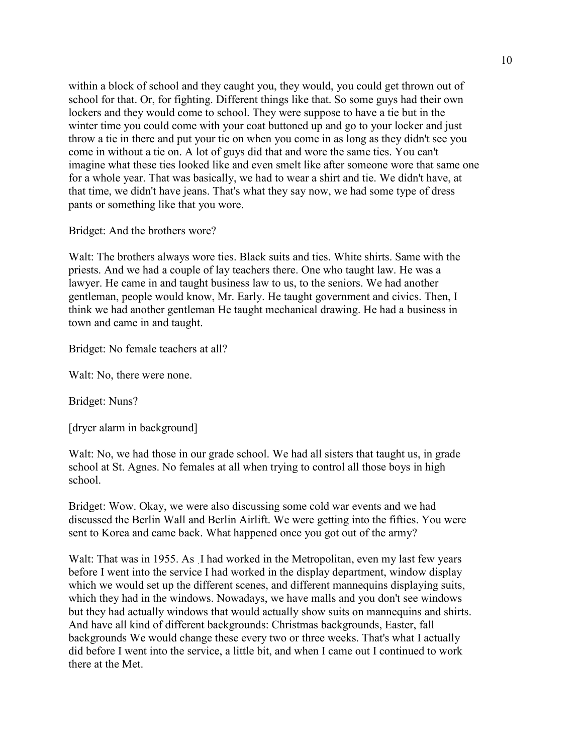within a block of school and they caught you, they would, you could get thrown out of school for that. Or, for fighting. Different things like that. So some guys had their own lockers and they would come to school. They were suppose to have a tie but in the winter time you could come with your coat buttoned up and go to your locker and just throw a tie in there and put your tie on when you come in as long as they didn't see you come in without a tie on. A lot of guys did that and wore the same ties. You can't imagine what these ties looked like and even smelt like after someone wore that same one for a whole year. That was basically, we had to wear a shirt and tie. We didn't have, at that time, we didn't have jeans. That's what they say now, we had some type of dress pants or something like that you wore.

Bridget: And the brothers wore?

Walt: The brothers always wore ties. Black suits and ties. White shirts. Same with the priests. And we had a couple of lay teachers there. One who taught law. He was a lawyer. He came in and taught business law to us, to the seniors. We had another gentleman, people would know, Mr. Early. He taught government and civics. Then, I think we had another gentleman He taught mechanical drawing. He had a business in town and came in and taught.

Bridget: No female teachers at all?

Walt: No, there were none.

Bridget: Nuns?

[dryer alarm in background]

Walt: No, we had those in our grade school. We had all sisters that taught us, in grade school at St. Agnes. No females at all when trying to control all those boys in high school.

Bridget: Wow. Okay, we were also discussing some cold war events and we had discussed the Berlin Wall and Berlin Airlift. We were getting into the fifties. You were sent to Korea and came back. What happened once you got out of the army?

Walt: That was in 1955. As I had worked in the Metropolitan, even my last few years before I went into the service I had worked in the display department, window display which we would set up the different scenes, and different mannequins displaying suits, which they had in the windows. Nowadays, we have malls and you don't see windows but they had actually windows that would actually show suits on mannequins and shirts. And have all kind of different backgrounds: Christmas backgrounds, Easter, fall backgrounds We would change these every two or three weeks. That's what I actually did before I went into the service, a little bit, and when I came out I continued to work there at the Met.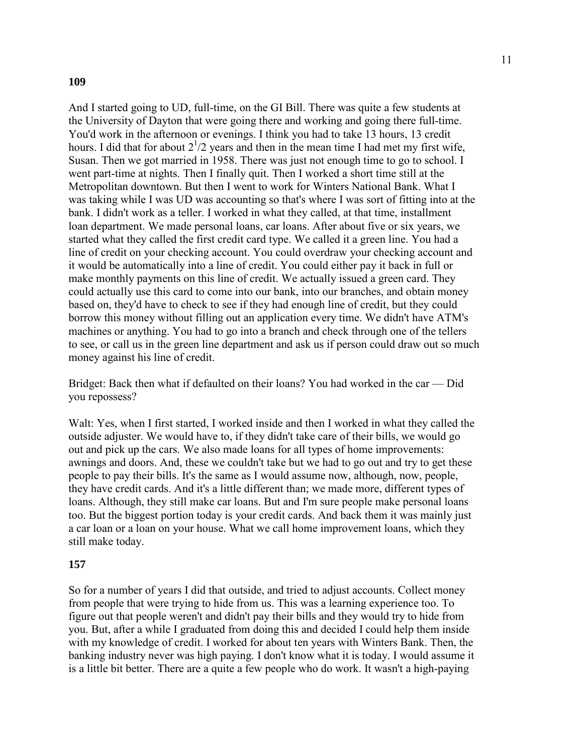## **109**

And I started going to UD, full-time, on the GI Bill. There was quite a few students at the University of Dayton that were going there and working and going there full-time. You'd work in the afternoon or evenings. I think you had to take 13 hours, 13 credit hours. I did that for about  $2^{1/2}$  years and then in the mean time I had met my first wife, Susan. Then we got married in 1958. There was just not enough time to go to school. I went part-time at nights. Then I finally quit. Then I worked a short time still at the Metropolitan downtown. But then I went to work for Winters National Bank. What I was taking while I was UD was accounting so that's where I was sort of fitting into at the bank. I didn't work as a teller. I worked in what they called, at that time, installment loan department. We made personal loans, car loans. After about five or six years, we started what they called the first credit card type. We called it a green line. You had a line of credit on your checking account. You could overdraw your checking account and it would be automatically into a line of credit. You could either pay it back in full or make monthly payments on this line of credit. We actually issued a green card. They could actually use this card to come into our bank, into our branches, and obtain money based on, they'd have to check to see if they had enough line of credit, but they could borrow this money without filling out an application every time. We didn't have ATM's machines or anything. You had to go into a branch and check through one of the tellers to see, or call us in the green line department and ask us if person could draw out so much money against his line of credit.

Bridget: Back then what if defaulted on their loans? You had worked in the car — Did you repossess?

Walt: Yes, when I first started, I worked inside and then I worked in what they called the outside adjuster. We would have to, if they didn't take care of their bills, we would go out and pick up the cars. We also made loans for all types of home improvements: awnings and doors. And, these we couldn't take but we had to go out and try to get these people to pay their bills. It's the same as I would assume now, although, now, people, they have credit cards. And it's a little different than; we made more, different types of loans. Although, they still make car loans. But and I'm sure people make personal loans too. But the biggest portion today is your credit cards. And back them it was mainly just a car loan or a loan on your house. What we call home improvement loans, which they still make today.

#### **157**

So for a number of years I did that outside, and tried to adjust accounts. Collect money from people that were trying to hide from us. This was a learning experience too. To figure out that people weren't and didn't pay their bills and they would try to hide from you. But, after a while I graduated from doing this and decided I could help them inside with my knowledge of credit. I worked for about ten years with Winters Bank. Then, the banking industry never was high paying. I don't know what it is today. I would assume it is a little bit better. There are a quite a few people who do work. It wasn't a high-paying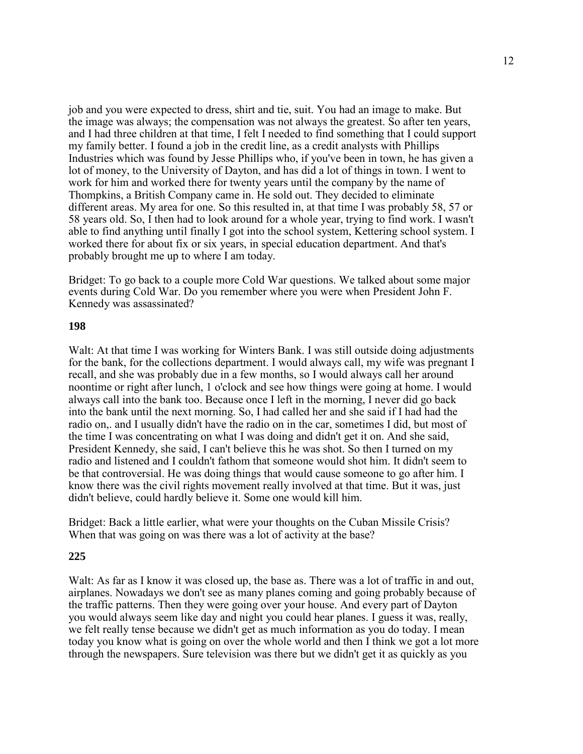job and you were expected to dress, shirt and tie, suit. You had an image to make. But the image was always; the compensation was not always the greatest. So after ten years, and I had three children at that time, I felt I needed to find something that I could support my family better. I found a job in the credit line, as a credit analysts with Phillips Industries which was found by Jesse Phillips who, if you've been in town, he has given a lot of money, to the University of Dayton, and has did a lot of things in town. I went to work for him and worked there for twenty years until the company by the name of Thompkins, a British Company came in. He sold out. They decided to eliminate different areas. My area for one. So this resulted in, at that time I was probably 58, 57 or 58 years old. So, I then had to look around for a whole year, trying to find work. I wasn't able to find anything until finally I got into the school system, Kettering school system. I worked there for about fix or six years, in special education department. And that's probably brought me up to where I am today.

Bridget: To go back to a couple more Cold War questions. We talked about some major events during Cold War. Do you remember where you were when President John F. Kennedy was assassinated?

#### **198**

Walt: At that time I was working for Winters Bank. I was still outside doing adjustments for the bank, for the collections department. I would always call, my wife was pregnant I recall, and she was probably due in a few months, so I would always call her around noontime or right after lunch, 1 o'clock and see how things were going at home. I would always call into the bank too. Because once I left in the morning, I never did go back into the bank until the next morning. So, I had called her and she said if I had had the radio on,. and I usually didn't have the radio on in the car, sometimes I did, but most of the time I was concentrating on what I was doing and didn't get it on. And she said, President Kennedy, she said, I can't believe this he was shot. So then I turned on my radio and listened and I couldn't fathom that someone would shot him. It didn't seem to be that controversial. He was doing things that would cause someone to go after him. I know there was the civil rights movement really involved at that time. But it was, just didn't believe, could hardly believe it. Some one would kill him.

Bridget: Back a little earlier, what were your thoughts on the Cuban Missile Crisis? When that was going on was there was a lot of activity at the base?

#### **225**

Walt: As far as I know it was closed up, the base as. There was a lot of traffic in and out, airplanes. Nowadays we don't see as many planes coming and going probably because of the traffic patterns. Then they were going over your house. And every part of Dayton you would always seem like day and night you could hear planes. I guess it was, really, we felt really tense because we didn't get as much information as you do today. I mean today you know what is going on over the whole world and then I think we got a lot more through the newspapers. Sure television was there but we didn't get it as quickly as you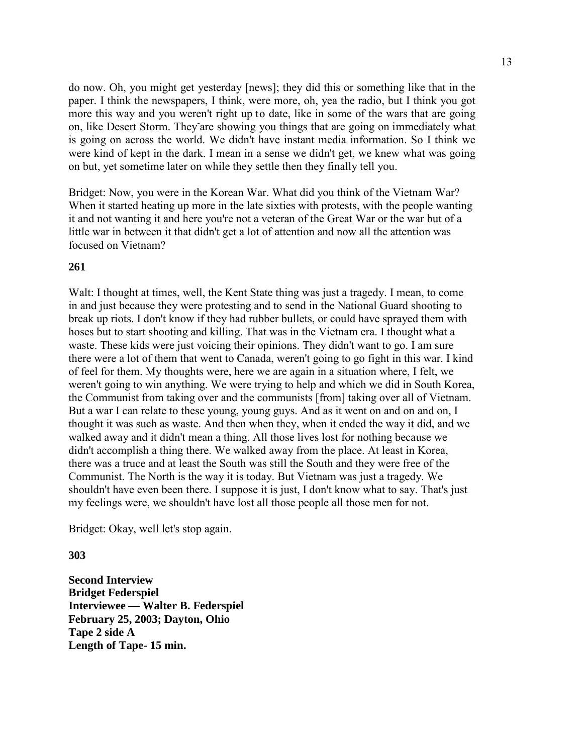do now. Oh, you might get yesterday [news]; they did this or something like that in the paper. I think the newspapers, I think, were more, oh, yea the radio, but I think you got more this way and you weren't right up to date, like in some of the wars that are going on, like Desert Storm. They are showing you things that are going on immediately what is going on across the world. We didn't have instant media information. So I think we were kind of kept in the dark. I mean in a sense we didn't get, we knew what was going on but, yet sometime later on while they settle then they finally tell you.

Bridget: Now, you were in the Korean War. What did you think of the Vietnam War? When it started heating up more in the late sixties with protests, with the people wanting it and not wanting it and here you're not a veteran of the Great War or the war but of a little war in between it that didn't get a lot of attention and now all the attention was focused on Vietnam?

## **261**

Walt: I thought at times, well, the Kent State thing was just a tragedy. I mean, to come in and just because they were protesting and to send in the National Guard shooting to break up riots. I don't know if they had rubber bullets, or could have sprayed them with hoses but to start shooting and killing. That was in the Vietnam era. I thought what a waste. These kids were just voicing their opinions. They didn't want to go. I am sure there were a lot of them that went to Canada, weren't going to go fight in this war. I kind of feel for them. My thoughts were, here we are again in a situation where, I felt, we weren't going to win anything. We were trying to help and which we did in South Korea, the Communist from taking over and the communists [from] taking over all of Vietnam. But a war I can relate to these young, young guys. And as it went on and on and on, I thought it was such as waste. And then when they, when it ended the way it did, and we walked away and it didn't mean a thing. All those lives lost for nothing because we didn't accomplish a thing there. We walked away from the place. At least in Korea, there was a truce and at least the South was still the South and they were free of the Communist. The North is the way it is today. But Vietnam was just a tragedy. We shouldn't have even been there. I suppose it is just, I don't know what to say. That's just my feelings were, we shouldn't have lost all those people all those men for not.

Bridget: Okay, well let's stop again.

#### **303**

**Second Interview Interviewee — Walter B. Federspiel February 25, 2003; Dayton, Ohio Bridget Federspiel Tape 2 side A Length of Tape- 15 min.**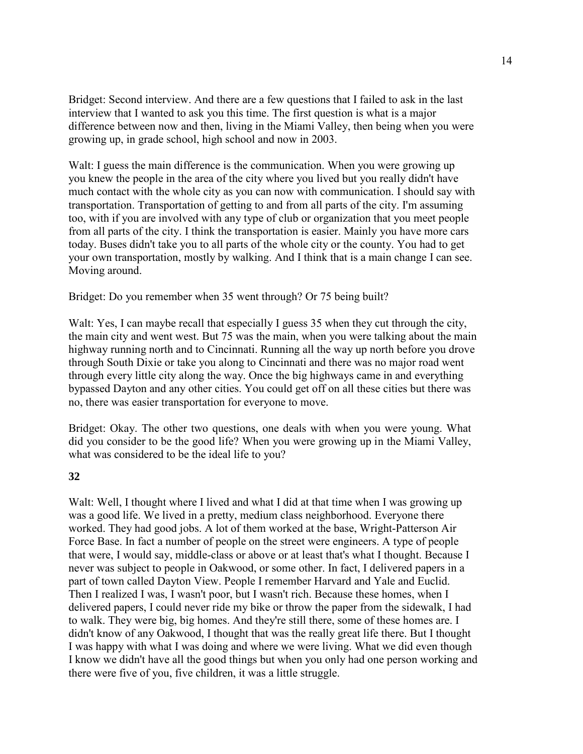Bridget: Second interview. And there are a few questions that I failed to ask in the last interview that I wanted to ask you this time. The first question is what is a major difference between now and then, living in the Miami Valley, then being when you were growing up, in grade school, high school and now in 2003.

Walt: I guess the main difference is the communication. When you were growing up you knew the people in the area of the city where you lived but you really didn't have much contact with the whole city as you can now with communication. I should say with transportation. Transportation of getting to and from all parts of the city. I'm assuming too, with if you are involved with any type of club or organization that you meet people from all parts of the city. I think the transportation is easier. Mainly you have more cars today. Buses didn't take you to all parts of the whole city or the county. You had to get your own transportation, mostly by walking. And I think that is a main change I can see. Moving around.

Bridget: Do you remember when 35 went through? Or 75 being built?

Walt: Yes, I can maybe recall that especially I guess 35 when they cut through the city, the main city and went west. But 75 was the main, when you were talking about the main highway running north and to Cincinnati. Running all the way up north before you drove through South Dixie or take you along to Cincinnati and there was no major road went through every little city along the way. Once the big highways came in and everything bypassed Dayton and any other cities. You could get off on all these cities but there was no, there was easier transportation for everyone to move.

Bridget: Okay. The other two questions, one deals with when you were young. What did you consider to be the good life? When you were growing up in the Miami Valley, what was considered to be the ideal life to you?

## **32**

Walt: Well, I thought where I lived and what I did at that time when I was growing up was a good life. We lived in a pretty, medium class neighborhood. Everyone there worked. They had good jobs. A lot of them worked at the base, Wright-Patterson Air Force Base. In fact a number of people on the street were engineers. A type of people that were, I would say, middle-class or above or at least that's what I thought. Because I never was subject to people in Oakwood, or some other. In fact, I delivered papers in a part of town called Dayton View. People I remember Harvard and Yale and Euclid. Then I realized I was, I wasn't poor, but I wasn't rich. Because these homes, when I delivered papers, I could never ride my bike or throw the paper from the sidewalk, I had to walk. They were big, big homes. And they're still there, some of these homes are. I didn't know of any Oakwood, I thought that was the really great life there. But I thought I was happy with what I was doing and where we were living. What we did even though I know we didn't have all the good things but when you only had one person working and there were five of you, five children, it was a little struggle.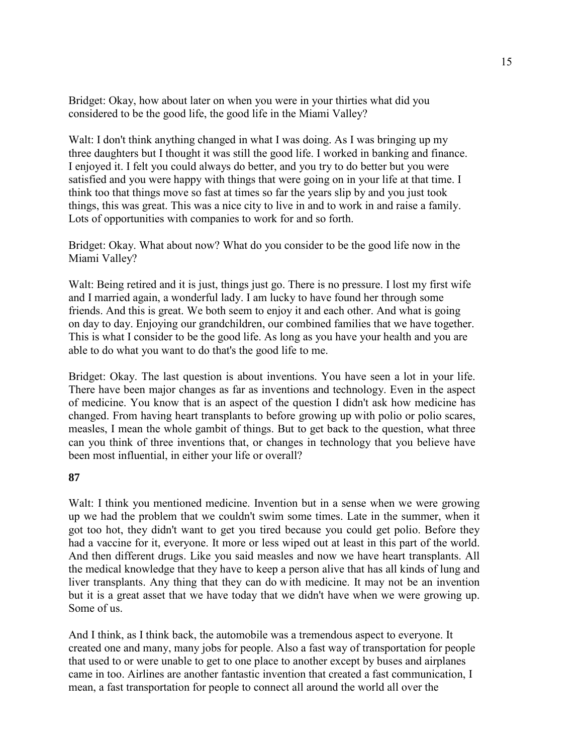Bridget: Okay, how about later on when you were in your thirties what did you considered to be the good life, the good life in the Miami Valley?

Walt: I don't think anything changed in what I was doing. As I was bringing up my three daughters but I thought it was still the good life. I worked in banking and finance. I enjoyed it. I felt you could always do better, and you try to do better but you were satisfied and you were happy with things that were going on in your life at that time. I think too that things move so fast at times so far the years slip by and you just took things, this was great. This was a nice city to live in and to work in and raise a family. Lots of opportunities with companies to work for and so forth.

Bridget: Okay. What about now? What do you consider to be the good life now in the Miami Valley?

Walt: Being retired and it is just, things just go. There is no pressure. I lost my first wife and I married again, a wonderful lady. I am lucky to have found her through some friends. And this is great. We both seem to enjoy it and each other. And what is going on day to day. Enjoying our grandchildren, our combined families that we have together. This is what I consider to be the good life. As long as you have your health and you are able to do what you want to do that's the good life to me.

Bridget: Okay. The last question is about inventions. You have seen a lot in your life. There have been major changes as far as inventions and technology. Even in the aspect of medicine. You know that is an aspect of the question I didn't ask how medicine has changed. From having heart transplants to before growing up with polio or polio scares, measles, I mean the whole gambit of things. But to get back to the question, what three can you think of three inventions that, or changes in technology that you believe have been most influential, in either your life or overall?

#### **87**

Walt: I think you mentioned medicine. Invention but in a sense when we were growing up we had the problem that we couldn't swim some times. Late in the summer, when it got too hot, they didn't want to get you tired because you could get polio. Before they had a vaccine for it, everyone. It more or less wiped out at least in this part of the world. And then different drugs. Like you said measles and now we have heart transplants. All the medical knowledge that they have to keep a person alive that has all kinds of lung and liver transplants. Any thing that they can do with medicine. It may not be an invention but it is a great asset that we have today that we didn't have when we were growing up. Some of us.

And I think, as I think back, the automobile was a tremendous aspect to everyone. It created one and many, many jobs for people. Also a fast way of transportation for people that used to or were unable to get to one place to another except by buses and airplanes came in too. Airlines are another fantastic invention that created a fast communication, I mean, a fast transportation for people to connect all around the world all over the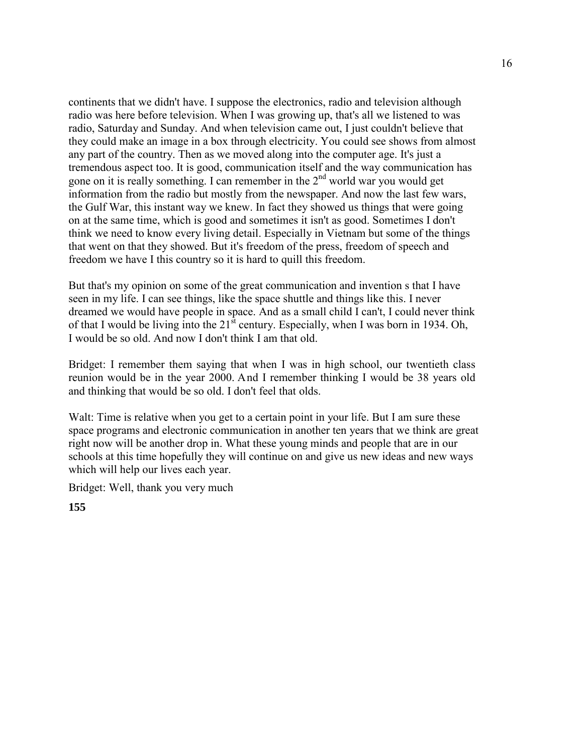continents that we didn't have. I suppose the electronics, radio and television although radio was here before television. When I was growing up, that's all we listened to was radio, Saturday and Sunday. And when television came out, I just couldn't believe that they could make an image in a box through electricity. You could see shows from almost any part of the country. Then as we moved along into the computer age. It's just a tremendous aspect too. It is good, communication itself and the way communication has gone on it is really something. I can remember in the  $2<sup>nd</sup>$  world war you would get information from the radio but mostly from the newspaper. And now the last few wars, the Gulf War, this instant way we knew. In fact they showed us things that were going on at the same time, which is good and sometimes it isn't as good. Sometimes I don't think we need to know every living detail. Especially in Vietnam but some of the things that went on that they showed. But it's freedom of the press, freedom of speech and freedom we have I this country so it is hard to quill this freedom.

But that's my opinion on some of the great communication and invention s that I have seen in my life. I can see things, like the space shuttle and things like this. I never dreamed we would have people in space. And as a small child I can't, I could never think of that I would be living into the  $21^{st}$  century. Especially, when I was born in 1934. Oh, I would be so old. And now I don't think I am that old.

Bridget: I remember them saying that when I was in high school, our twentieth class reunion would be in the year 2000. And I remember thinking I would be 38 years old and thinking that would be so old. I don't feel that olds.

Walt: Time is relative when you get to a certain point in your life. But I am sure these space programs and electronic communication in another ten years that we think are great right now will be another drop in. What these young minds and people that are in our schools at this time hopefully they will continue on and give us new ideas and new ways which will help our lives each year.

Bridget: Well, thank you very much

**155**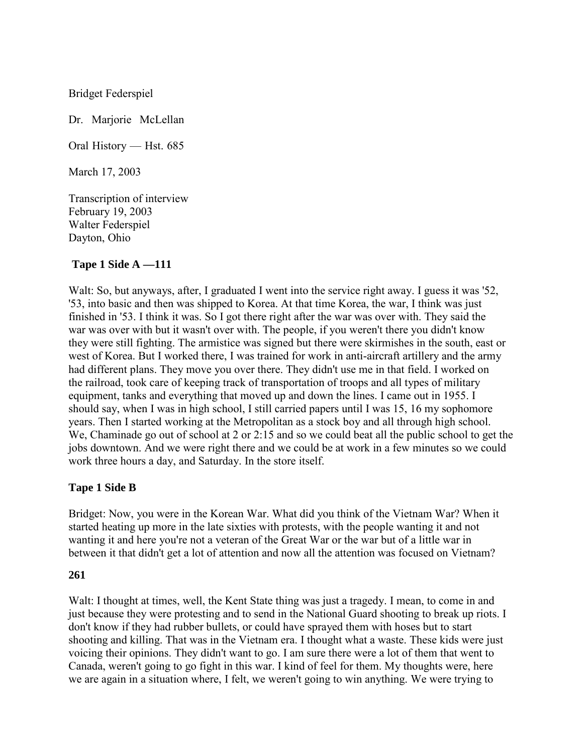Bridget Federspiel

Dr. Marjorie McLellan

Oral History — Hst. 685

March 17, 2003

Transcription of interview February 19, 2003 Walter Federspiel Dayton, Ohio

## **Tape 1 Side A —111**

Walt: So, but anyways, after, I graduated I went into the service right away. I guess it was '52, '53, into basic and then was shipped to Korea. At that time Korea, the war, I think was just finished in '53. I think it was. So I got there right after the war was over with. They said the war was over with but it wasn't over with. The people, if you weren't there you didn't know they were still fighting. The armistice was signed but there were skirmishes in the south, east or west of Korea. But I worked there, I was trained for work in anti-aircraft artillery and the army had different plans. They move you over there. They didn't use me in that field. I worked on the railroad, took care of keeping track of transportation of troops and all types of military equipment, tanks and everything that moved up and down the lines. I came out in 1955. I should say, when I was in high school, I still carried papers until I was 15, 16 my sophomore years. Then I started working at the Metropolitan as a stock boy and all through high school. We, Chaminade go out of school at 2 or 2:15 and so we could beat all the public school to get the jobs downtown. And we were right there and we could be at work in a few minutes so we could work three hours a day, and Saturday. In the store itself.

## **Tape 1 Side B**

Bridget: Now, you were in the Korean War. What did you think of the Vietnam War? When it started heating up more in the late sixties with protests, with the people wanting it and not wanting it and here you're not a veteran of the Great War or the war but of a little war in between it that didn't get a lot of attention and now all the attention was focused on Vietnam?

#### **261**

Walt: I thought at times, well, the Kent State thing was just a tragedy. I mean, to come in and just because they were protesting and to send in the National Guard shooting to break up riots. I don't know if they had rubber bullets, or could have sprayed them with hoses but to start shooting and killing. That was in the Vietnam era. I thought what a waste. These kids were just voicing their opinions. They didn't want to go. I am sure there were a lot of them that went to Canada, weren't going to go fight in this war. I kind of feel for them. My thoughts were, here we are again in a situation where, I felt, we weren't going to win anything. We were trying to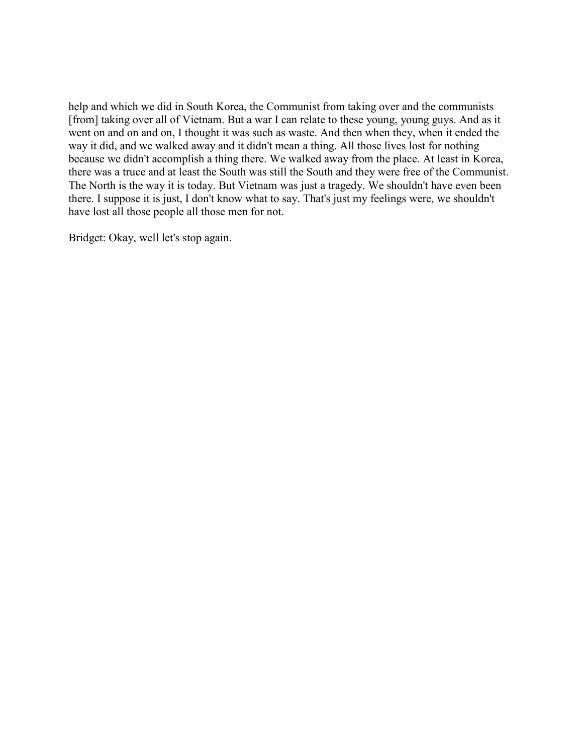help and which we did in South Korea, the Communist from taking over and the communists [from] taking over all of Vietnam. But a war I can relate to these young, young guys. And as it went on and on and on, I thought it was such as waste. And then when they, when it ended the way it did, and we walked away and it didn't mean a thing. All those lives lost for nothing because we didn't accomplish a thing there. We walked away from the place. At least in Korea, there was a truce and at least the South was still the South and they were free of the Communist. The North is the way it is today. But Vietnam was just a tragedy. We shouldn't have even been there. I suppose it is just, I don't know what to say. That's just my feelings were, we shouldn't have lost all those people all those men for not.

Bridget: Okay, well let's stop again.